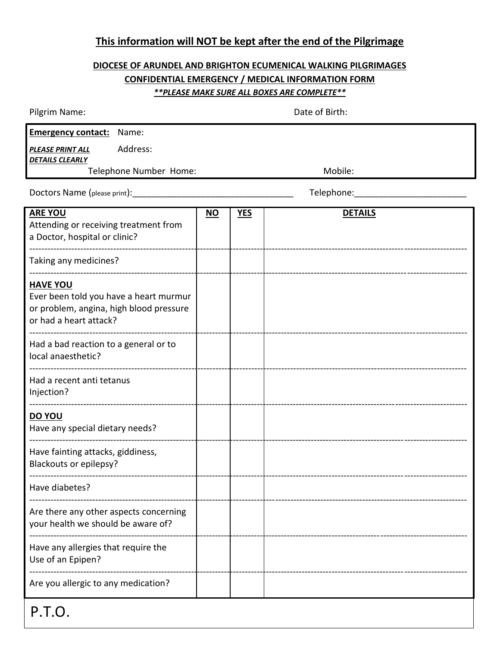## **This information will NOT be kept after the end of the Pilgrimage**

## **DIOCESE OF ARUNDEL AND BRIGHTON ECUMENICAL WALKING PILGRIMAGES CONFIDENTIAL EMERGENCY / MEDICAL INFORMATION FORM** *\*\*PLEASE MAKE SURE ALL BOXES ARE COMPLETE\*\**

| Pilgrim Name:                                                                                                                  | Date of Birth: |            |                |  |
|--------------------------------------------------------------------------------------------------------------------------------|----------------|------------|----------------|--|
| <b>Emergency contact:</b> Name:<br>Address:<br>PLEASE PRINT ALL<br><b>DETAILS CLEARLY</b><br>Telephone Number Home:            |                |            | Mobile:        |  |
| Doctors Name (please print):                                                                                                   |                |            | Telephone:     |  |
| <b>ARE YOU</b><br>Attending or receiving treatment from<br>a Doctor, hospital or clinic?                                       | $NO$           | <b>YES</b> | <b>DETAILS</b> |  |
| Taking any medicines?                                                                                                          |                |            |                |  |
| <b>HAVE YOU</b><br>Ever been told you have a heart murmur<br>or problem, angina, high blood pressure<br>or had a heart attack? |                |            |                |  |
| Had a bad reaction to a general or to<br>local anaesthetic?<br>-------------------------------                                 |                |            |                |  |
| Had a recent anti tetanus<br>Injection?                                                                                        |                |            |                |  |
| DO YOU<br>Have any special dietary needs?                                                                                      |                |            |                |  |
| Have fainting attacks, giddiness,<br>Blackouts or epilepsy?                                                                    |                |            |                |  |
| Have diabetes?                                                                                                                 |                |            |                |  |
| Are there any other aspects concerning<br>your health we should be aware of?                                                   |                |            |                |  |
| Have any allergies that require the<br>Use of an Epipen?                                                                       |                |            |                |  |
| Are you allergic to any medication?                                                                                            |                |            |                |  |
| P.T.O.                                                                                                                         |                |            |                |  |